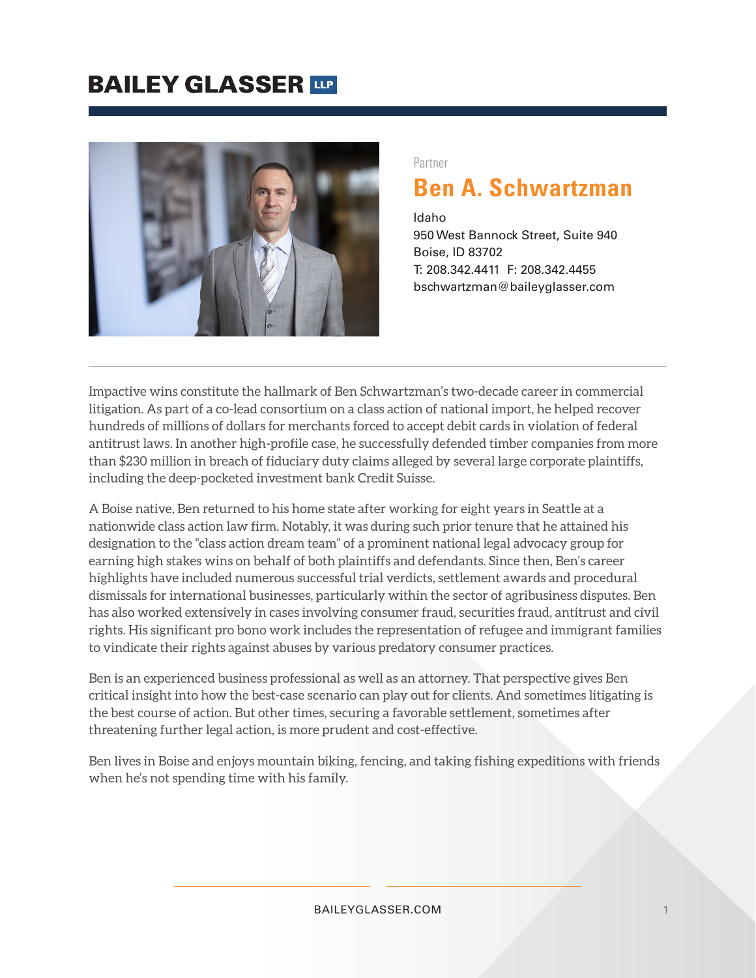## **BAILEY GLASSER TIP**



#### Partner

### **Ben A. Schwartzman**

Idaho 950 West Bannock Street, Suite 940 Boise, ID 83702 T: 208.342.4411 F: 208.342.4455 bschwartzman@baileyglasser.com

Impactive wins constitute the hallmark of Ben Schwartzman's two-decade career in commercial litigation. As part of a co-lead consortium on a class action of national import, he helped recover hundreds of millions of dollars for merchants forced to accept debit cards in violation of federal antitrust laws. In another high-profile case, he successfully defended timber companies from more than \$230 million in breach of fiduciary duty claims alleged by several large corporate plaintiffs, including the deep-pocketed investment bank Credit Suisse.

A Boise native, Ben returned to his home state after working for eight years in Seattle at a nationwide class action law firm. Notably, it was during such prior tenure that he attained his designation to the "class action dream team" of a prominent national legal advocacy group for earning high stakes wins on behalf of both plaintiffs and defendants. Since then, Ben's career highlights have included numerous successful trial verdicts, settlement awards and procedural dismissals for international businesses, particularly within the sector of agribusiness disputes. Ben has also worked extensively in cases involving consumer fraud, securities fraud, antitrust and civil rights. His significant pro bono work includes the representation of refugee and immigrant families to vindicate their rights against abuses by various predatory consumer practices.

Ben is an experienced business professional as well as an attorney. That perspective gives Ben critical insight into how the best-case scenario can play out for clients. And sometimes litigating is the best course of action. But other times, securing a favorable settlement, sometimes after threatening further legal action, is more prudent and cost-effective.

Ben lives in Boise and enjoys mountain biking, fencing, and taking fishing expeditions with friends when he's not spending time with his family.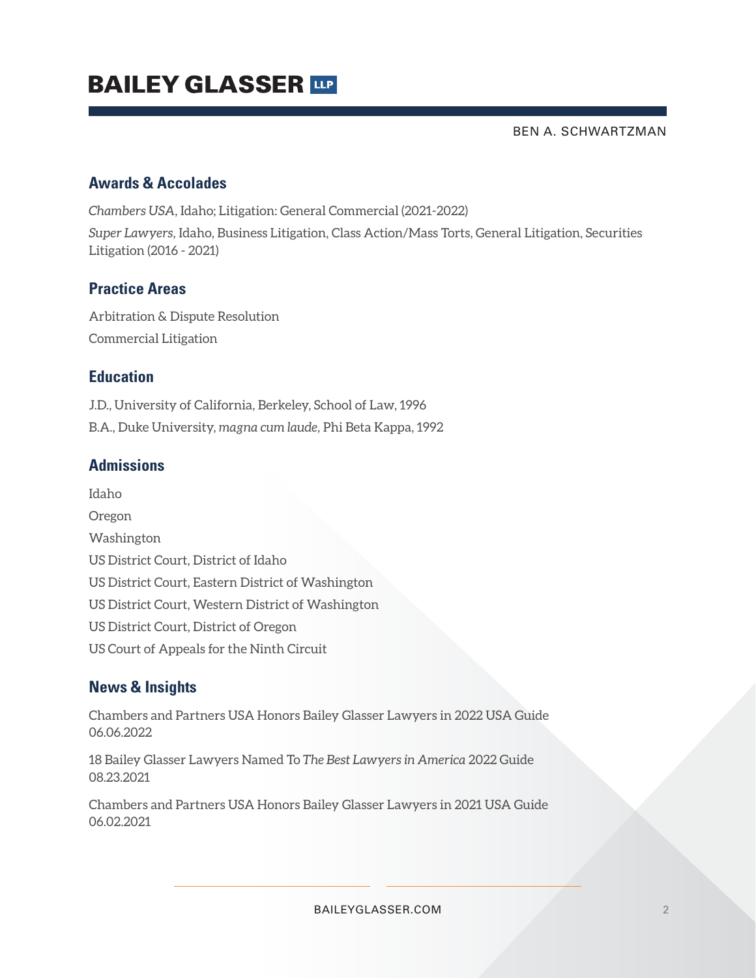# **BAILEY GLASSER TIP**

BEN A. SCHWARTZMAN

#### **Awards & Accolades**

*Chambers USA*, Idaho; Litigation: General Commercial (2021-2022)

*Super Lawyers,* Idaho, Business Litigation, Class Action/Mass Torts, General Litigation, Securities Litigation (2016 - 2021)

#### **Practice Areas**

Arbitration & Dispute Resolution Commercial Litigation

#### **Education**

J.D., University of California, Berkeley, School of Law, 1996 B.A., Duke University, *magna cum laude,* Phi Beta Kappa, 1992

#### **Admissions**

Idaho Oregon Washington US District Court, District of Idaho US District Court, Eastern District of Washington US District Court, Western District of Washington US District Court, District of Oregon US Court of Appeals for the Ninth Circuit

### **News & Insights**

Chambers and Partners USA Honors Bailey Glasser Lawyers in 2022 USA Guide 06.06.2022

18 Bailey Glasser Lawyers Named To *The Best Lawyers in America* 2022 Guide 08.23.2021

Chambers and Partners USA Honors Bailey Glasser Lawyers in 2021 USA Guide 06.02.2021